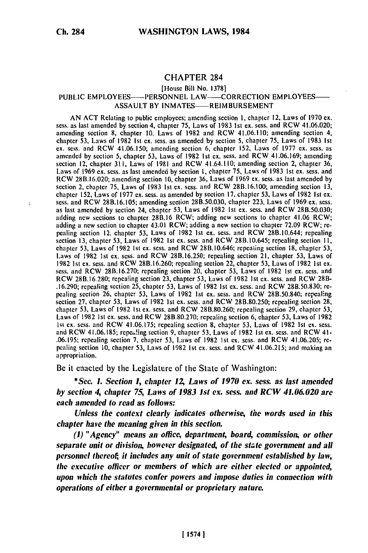# **CHAPTER 284**

### [House Bill No. **1378]**

### PUBLIC EMPLOYEES--- PERSONNEL LAW--- CORRECTION EMPLOYEES-ASSAULT BY INMATES-REIMBURSEMENT

AN **ACT** Relating to public employees; amending section 1, chapter 12, Laws of **1970 ex.** scss. as last amended **by** section 4, chapter **75,** Laws of **1983 Ist cx.** sess. and RCW 41.06.020; amending section **8,** chapter **10,** Laws of **1982** and RCW 41.06.110; amending section 4, chapter **53,** Laws of **1982 Ist cx.** sess. as amended **by** section 5, chapter **75,** Laws of **1983 Ist cx.** scss. and RCW 41.06.150; amending section 6, chapter **152,** Laws of **1977 ex.** scss. as amended **by** section **5,** chapter **53,** Laws of **1982 Ist ex.** scss. and RCW 41.06.169; amending section 12, chapter **311,** Laws of **1981** and RCW 41.64.110; amending section 2, chapter **36,** Laws of **1969 ex.** sess. as last amended **by** section **I,** chapter **75,** Laws of **1983 Ist** ex. scss. and RCW **28B.16.020;** amending section **10,** chapter **36,** Laws of **1969 ex.** sess. as last amended **by** section 2, chapter **75,** Laws of **1983 Ist cx.** sess. and RCW **28B.16.100;** amending section **13, chapter 15 Laws of 1983 Ist ex. sess. and RCW 28B.10.100; amending section 13,**  $\frac{1}{2}$ chapter 152, Laws of 1977 ex. sess. as amended by section 17, chapter 53, Laws of 1982 1st ex. sess. and RCW 28B.16.105; amending section 28B.50.030, chapter 223, Laws of 1969 ex. sess. as last amended **by** section 24, chapter **53,** Laws of **1982 Ist** ex. scss. and RCW **28B.50.030;** adding new sections to chapter **28B.16** RCW; adding new sections to chapter 41.06 RCW; adding new sections to chapter 43.01.0 **CW;** adding new sections to chapter 41.00 **RW**; **re**pealing section 12, chapter **53,** Laws of **1982 Ist ex.** sess. and RCW 28B.10.644; repealing pealing section 12, chapter 53, Laws of 1982 1st ex. sess. and RCW 28B.10.644; repealing chapter **53,** Laws of **1982 Ist cx.** sess. and RCW 28B.10.646; **repcaiing** section 18, chapter **53,** Laws of **1982 1st cx.** sess. and RCW **28B.16.250;** repealing section 21, chapter **53,** Laws of **1982 1st cx.** sess. and RCW **28B.16.260;** repealing section 22, chapter **53,** Laws of **1982** 1st **cx.** sess. and RCW **28B.16.270;** repealing section 20, chapter **53,** Laws of **1982 Ist** ex. sess. and RCW **281.16.280;** repealing section **23,** chapter **53,** Laws of **1982 Ist ex.** sess. and RCW 2811- **.16.290;** repealing section **25,** chapter **53,** Laws of **1982 Ist cx.** sess. and RCW **28B.50.830;** repealing section **26,** chapter 53, Laws of **1982 Ist cx.** sess. and RCW 28B.50.840; repealing section **27,** chapter **53,** Laws of **1982 Ist cx.** sess. and RCW **28B.80.250;** repealing section **28,** chapter **53,** Laws of **1982 Ist cx.** sess. and RCW **28B.80.260;** repealing section **29,** chapter **53,** Laws of **1982** 1st **cx.** sess. and RCW **28B.80.270;** repealing section **6,** chapter **53,** Laws of **1982** 1st **ex.** sess. and RCW **41.06.175;** repealing section **8,** chapter 53, Laws of **1982 Ist ex.** scss. and RCW 41.06.185; rcpca!ing section **9,** chapter **53,** Laws of **1982 Ist ex.** scss. and RCW 41- **.06.195;** repealing section **7,** chapter **53,** Laws of **1982 Ist** ex. scss. and RCW 41.06.205; rewo.195; repealing section *1*, enapter 53, Laws of 1982 1st ex. sess. and RCW 41.06.205; repeaning section

Be it enacted **by** the Legislature of the State of Washington:

*\*Sec. 1. Section 1, chapter 12 Laws of 1970 ex. sess. as last amended by section 4, chapter 75, Laws of 1983 1st ex. sess. and RCW 41.06.020 are each amended to read as follows:*

*Unless the context clearly indicates otherwise, the words used in this chapter have the meaning given in this section.*

*(1) "Agency" means an office, department, board, commission, or other separate unit or division, however designated, of the state government and all personnel thereof, it includes any unit of state government established by law, the executive officer or members of which are either elected or appointed, upon which the statutes confer powers and impose duties in connection with operations of either a governmental or proprietary nature.*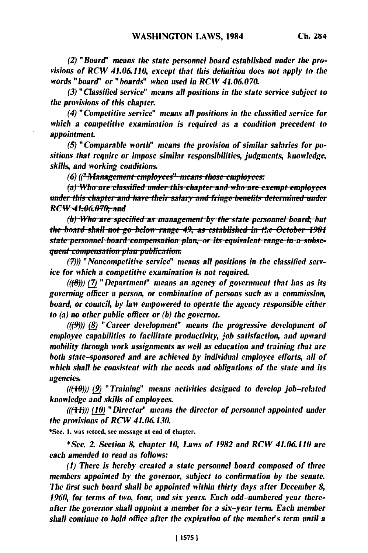*(2) "Board' means the state personnel board established under the provisions of RCW 41.06.110, except that this definition does not apply to the words "board" or "boards" when used in RCW 41.06.070.*

*(3) "Classified service" means all positions in the state service subject to the provisions of this chapter.*

*(4) "Competitive service" means all positions in the classified service for which a competitive examination is required as a condition precedent to appointment.*

*(5) "Comparable worth" means the provision of similar salaries for positions that require or impose similar responsibilities, judgments, knowledge, skills, and working conditions.*

*(6) ("Management employees" means those employees:* 

 $(a)$  Who are classified under this chapter and who are exempt employees **/e M/** *Lhap.ii* **and** *have their s* **zL-i--** *nnd* **be.** *deined* **ud <sup>U</sup> <sup>7</sup>** *Bl* **3pI JllEIIL UiI** *REW 41.06.070; and* 

*(b)* Who are specified as management by the state personnel board, but *the board shall not go below range 49, as established in the October 1981 state personnel board compensation plan, or its equivalent range in a subsequent compensation plan publication.* 

*M)) "Noncompetitive service" means all positions in the classified service for which a competitive examination is not required.*

 $((\theta))$  (7) <sup>"</sup> Department" means an agency of government that has as its *governing officer a person, or combination of persons such as a commission, board, or council, by law empowered to operate the agency responsible either to (a) no other public officer or (b) the governor.*

*(((9))* **(8)** *" Career developmient" means the progressive development of employee capabilities to facilitate productivity, job satisfaction, and upward mobility through work assignments as well as education and training that are both state-sponsored and are achieved by individual employee efforts, all of which shall be consistent with the needs and obligations of the state and its agencies.*

*(((-")) (9) " Training" means activities designed to develop job-related knowledge and skills of employees.*

*(((1-1)) (10) " Director" means the director of personnel appointed under the provisions of RCIV 41.06.130.*

\*Sec. **1.** was vetoed, sec message at end of chapter.

*\*Sec. . Section 8, chapter 10, Laws of 1982 and RCV 41.06.110 are each amended to read as follows:*

*(1) There is hereby created a state personnel board composed of three members appointed by the governor, subject to confirmation by the senate. The first such board shall be appointed within thirty days after December 8, 1960, for terms of two, four, and six years. Each odd-numbered year thereafter the governor shall appoint a member for a six-year term. Each member shall continue to hold office after the expiration of the member's term until a*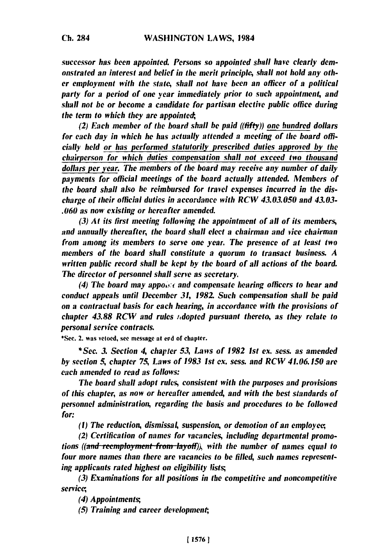*successor has been appointed. Persons so appointed shall have clearly demonstrated an interest and belief in the merit principle, shall not hold any other employment with the state, shall not have been an officer of a political party for a period of one year immediately prior to such appointment, and shall not he or become a candidate for partisan elective public office during the term to which they are appointed,*

*(2) Each member of the board shall be paid ((fifty)) one hundred dollars for each day in which he has actually attended a meeting of the hoard officially held or has performed statutorily prescribed duties approved by the chairperson for which duties compensation shall not exceed two thousand dollars per year. The members of the board may receive any number of daily payments for official meetings of the board actually attended. Members of the board shall also be reimbursed for travel expenses incurred in the discharge of their official duties in accordance with RCW 43.03.050 and 43.03- .060 as now existing or hereafter amended.*

*(3) At its first meeting following the appointment of all of its members, and annually thereafter, the board shall elect a chairman and vice chairman from among its members to serve one year. The presence of at least two members of the board shall constitute a quorum to transact business. A written public record shall he kept by the board of all actions of the hoard. The director of personnel shall serve as secretary.*

*(4) The board may appo&Yc and compensate hearing officers to hear and conduct appeals until December 31, 1982. Such compensation shall he paid on a contractual basis for each hearing, in accordance with the provisions of chapter 43.88 RCW and rules idential nursuant thereto, as they relate to personal service contracts.*

**\*Sec.** 2. was vetoed, see message at **erd** of chapter.

*\*Sec. 3. Section 4, chapter 53, Laws of 1982 1st ex. sess. as amended by section 5, chapter 75, Laws of 1983 Ist ex. sess. and RCW 41.06.150 are each amended to read as follows:*

*The board shall adopt rules, consistent with the purposes and provisions of this chapter, as now or hereafter amended, and with the best standards of personnel administration, regarding the basis and procedures to he followed for:*

*(1) The reduction, dismissal, suspension, or demotion of an employee*

*(2) Certification of names for vacancies, including departmental promotions ((and reemployment from layoff)), with the number of names equal to four more names than there are vacancies to be filled, such names representing applicants rated highest on eligibility lists;*

*(3) Examinations for all positions in the competitive and noncompetitive service,*

*(4) Appointments;*

*(5) Training and career development,*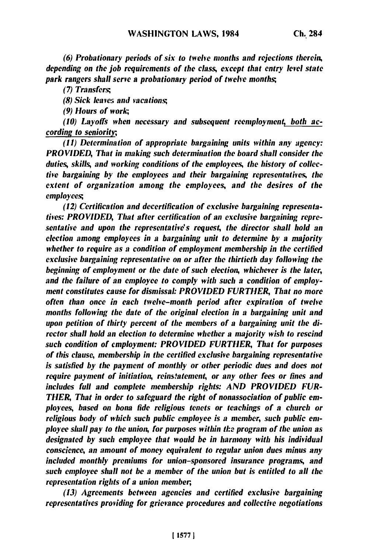*(6) Probationary periods of six to twelve months and rejections therein, depending on the job requirements of the class, except that entry level state park rangers shall serve a probationary period of twelve months;*

*(7) Transfers;*

*(8) Sick leaves and vacations;*

*(9) Hours of work,*

*(10) Layoffs when necessary and subsequent reemploymen4 both according to seniority,*

*(11) Determination of appropriate bargaining units within any agency: PROVIDED, That in making such determination the board shall consider the duties, skills, and working conditions of the employees, the history of collective bargaining by the employees and their bargaining representatives, the extent of organization among the employees, and the desires of the employees;*

*(12) Certification and decertification of exclusive bargaining representatives: PROVIDED, That after certification of an exclusive bargaining representative and upon the representative's request, the director shall hold an election among employees in a bargaining unit to determine by a majority whether to require as a condition of employment membership in the certified exclusive bargaining representative on or after the thirtieth day following the beginning of employment or the date of such election, whichever is the later, and the failure of an employee to comply with such a condition of employment constitutes cause for dismissal: PROVIDED FURTHER, That no more often than once in each twelve-month period after expiration of twelve months following the date of the original election in a bargaining unit and upon petition of thirty percent of the members of a bargaining unit the director shall hold an election to determine whether a majority wish to rescind such condition of employment: PROVIDED FURTHER, That for purposes of this clause, membership in the certified exclusive bargaining representative is satisfied by the payment of monthly or other periodic dues and does not require payment of initiation, reinstatement, or any other fees or fines and includes full and complete membership rights: AND PROVIDED FUR-THER, That in order to safeguard the right of nonassociation of public employees, based on bona fide religious tenets or teachings of a church or religious body of which such public employee is a member, such public employee shall pay to the union, for purposes within tle program of the union as designated by such employee that would be in harmony with his individual conscience, an amount of money equivalent to regular union dues minus any included monthly premiums for union-sponsored insurance programs, and such employee shall not be a member of the union but is entitled to all the representation rights of a union member,*

*(13) Agreements between agencies and certified exclusive bargaining representatives providing for grievance procedures and collective negotiations*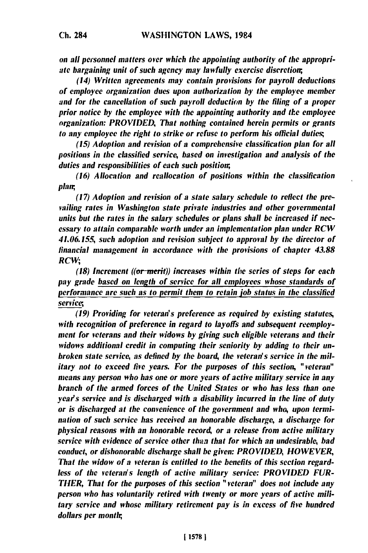**Ch. 284**

*on all personnel matters over which the appointing authority of the appropriate bargaining unit of such agency may lawfully exercise discretion;,*

*(14) Written agreements may contain provisions for payroll deductions of employee organization dues upon authorization by the employee member and for the cancellation of such payroll deductimn by the filing of a proper prior notice by the employee with the appointing authority and tle employee organization: PROVIDED, That nothing contained herein permits or grants to any employee the right to strike or refuse to perform his official duties;*

*(15) Adoption and revision of a comprehensive classification plan for all positions in the classified service, based on investigation and analysis of the duties and responsibilities of each such position;,*

*(16) Allocation and reallocation of positions within the classification plan;*

*(17) Adoption and revision of a state salary schedule to reflect the prevailing rates in Washington state private industries and other governmental units but the rates in the salary schedules or plans shall be increased if necessary to attain comparable worth under an implementation plan under RCW 41.06.155, such adoption and revision subject to approval by the director of financial management in accordance with the provisions of chapter 43.88* RCW;

**(18)** *Increment ((or-merit)) increases within the series of steps for each pay grade based on length of service for all employees whose standards of performance are such as to permit them to retain job status in the classified service,*

*(19) Providing for veteran's preference as required by existing statutes, with recognition of preference in regard to layoffs and subsequent reemployment for veterans and their widows by giving such eligible veterans and their widows additional credit in computing their seniority by adding to their unbroken state service, as defined by the board, the veteran's service in the military not to exceed five years. For the purposes of this section, "veteran" means any person who has one or more years of active military service in any branch of the armed forces of the United States or who has less than one year's service and is discharged with a disability incurred in the line of duty or is discharged at the convenience of the government and who, upon termination of such service has received an honorable discharge, a discharge for physical reasons with an honorable record, or a release from active military service with evidence of service other than that for which an undesirable, bad conduct, or dishonorable discharge shall be given: PROVIDED, HOWEVER, That the widow of a veteran is entitled to the benefits of this section regardless of the veteran's length of active military service: PROVIDED FUR-THER, That for the purposes of this section "veteran" does not include any person who has voluntarily retired with twenty or more years of active military service and whose military retirement pay is in excess of five hundred dollars per montr,*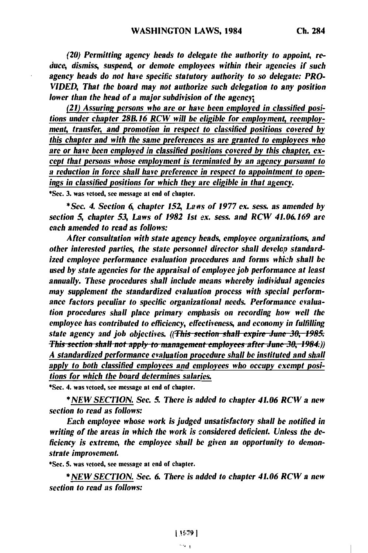*(20) Permitting agency heads to delegate the authority to appoint, reduce, dismiss, suspend, or demote employees within their agencies if such agency heads do not have specific statutory authority to so delegate: PRO-VIDED, That the board may not authorize such delegation to any position lower than the head of a major subdivision of the agencr*

*(21) Assuring persons who are or have been employed in classified positions under chapter 28. 16 RCW will be eligible for employment, reemployment, transfer, and promotion in respect to classified positions covered by this chapter and with the same preferences as are granted to employees who* **are** *or have been employed in classified positions covered by this chapter, except that persons whose employment is terminated by an agency pursuant to a reduction in force shall have preference in respect to appointment to openings in classified positions for which they are eligible in that agency.*

\*Sec. **3.** was vetoed, see message at end of chapter.

*\*Sec. 4. Section 6, chapter* **152,** *Laws of 1977 ex. sess. as amended by section 5, chapter 53, Laws of 1982 1st* **ex.** *sess. and RCW 41.06169 are each amended to read as follows:*

*After consultation with state agency heads, employee organizations, and other interested parties, the state personnel director shall develop standardized employee performance evaluation procedures and forms whi:h shall be used by state agencies for the appraisal of employee job performance at least annually. These procedures shall include means whereby individual agencies may supplement the standardized evaluation process with special performance factors peculiar to specific organizational needs. Performance evaluation procedures shall place primary emphasis on recording how well the employee has contributed to efficiency, effectiveness, and economy in fulfilling state agency and job objectives. (Tis* section *shall expire* **June. 30** *, 1985. Hhis section shall not apply to management employees after June 30, 1984.)) A standardized performance evaluation procedure shall be instituted and shall* apply to both classified employees and employees who occupy exempt posi*tions for which the board determines salaries.*

**\*See.** 4. was vetoed, see message at end of chapter.

*\*NEW SECTION. See. 5. There is added to chapter 41.06 RCW a new section to read as follows:*

*Each employee whose work is judged unsatisfactory shall be notified in writing of the areas in which the work is considered deficient. Unless the deficiency is extreme, the employee shall be given an opportunity to demonstrate improvement.*

\*Sec. **5.** was vetoed, see message at end of chapter.

*\*NEW SECTION. See. 6. There is added to chapter 41.06 RCW a new section to read as follows:*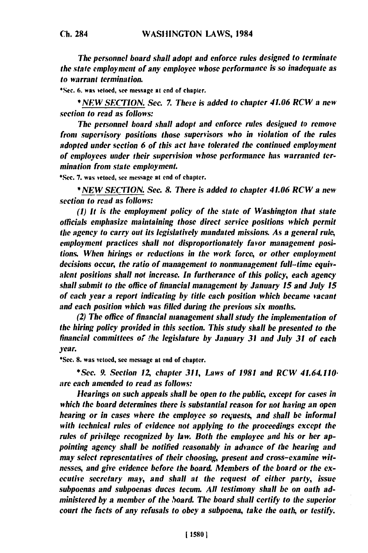The personnel board shall adopt and *enforce* **rules** designed to terminate the state employment of any employee whose performance is so inadequate as to warrant termination.

**'Sec. 6. was** vetoed, see message at end of chapter.

*\*NEW* **SECTION. See.** *7.* There is added to chapter 41.06 *RCW* a new section to read as follows:

The personnel board shall adopt and *enforce* rules designed to remove front supervisory positions those supervisors who in violation of the rules adopted under section **6** of this act have tolerated the continued employment **of** employees under their supervision whose performance has warranted termination from state employment.

\*Sec. **7.** was vetoed, see message at end of chapter.

*\*NEW* **SECTION.** Sec. **8.** There is **added** to chapter 41.06 RCW a new section to read as follows:

**(1)** *It* is the employment policy of the state of Washington that state officials emphasize maintaining those direct service positions which permit the agency to carry out its legislatively mandated missions. As a general rule, employment practices shall not disproportionately favor management positions. When hirings or reductions in the work force, or other employment decisions occur, the ratio of management to nonmanagement full-time equivalent positions shall not increase. In furtherance of this policy, each agency shall submit to the office of financial management **by** January **15** and July **15** of each year **a** report indicating **by** title each position which became vacant and each position which was **filled** during the previous six months.

(2) The office of financial management shall study the implementation of the hiring policy provided in this section. This study shall **be** presented to the financial committees of *the* legislature **by** January **31** and July **31** of each year.

'Sec. **8.** was vetoed, see message at end of chapter.

*\*Sec.* **9.** Section *1Z* chapter **311,** Laws of **1981** and RCW 41.64.110. are each amended to read as follows:

Hearings on such appeals shall *be* open to the public, except for cases in which the board determines there is substantial reason for not having an open hearing or in *cases* where the employee so requests, and shall **be** informal with technical rules of evidence not applying to the proceedings except the rules of privilege recognized **by** law. Both the employee and his or her **ap**pointing agency shall **be** notified reasonably in advance of the hearing and may select representatives of their choosing, present and cross-examine witnesses, and give evidence before the board. Members of the board or the executive secretary may, and shall at the request of either party, issue subpoenas and subpoenas duces tecum. **All** testimony shall **be** on oath **ad**ministered **by** a member of the *,oard.* The board shall certify to the superior court the facts of any refusals to obey a subpoena, take the oath, or testify.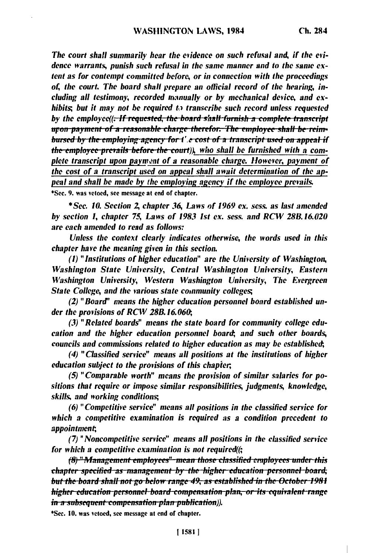The court shall summarily hear the evidence on such refusal and, if the evidence warrants, *punish such* refusal *in* the *same* manner and to *the same ex*tent as for contempt committed before, or in connection with the proceedings of, the court. The board shall prepare an official record of the hearing, including **all** testimony, recorded manually or **by** mechanical device, and exhibits; but it may not **be** required **to** transcribe such record unless requested by the employee((<del>, If requested, the board s/aall furnish a complete transcript</del> upon payment of a reasonable charge therefor. The employee shall be reim*thursed by the employing agency for t'.e cost of a transcript used on appeal if*<br>*the employee prevails before the court*)), who shall be furnished with a complete transcript upon payment of a reasonable charge. However, payment of the cost of a transcript used on **appeal** shall await determination of *the ap***peal and shall be made by the employing agency if the employee prevails.** 

\*Sec. **9.** was vetoed, see message at end of chapter.

**\*** *Sec.* **10.** Section *2,* chapter **36,** Laws of **1969** *ex.* sess. as last amended **by** section **1,** chapter **75,** Laws of **1983 1st Cx.** *sess.* **and** RCW **288.16.020** are each amended to read as follows:

Unless the context clearly indicates otherwise, the words used in this chapter have the meaning given in this section.

**(1)** "Institutions of higher education" are the University of Washington, Washington State University, Central Washington University, Eastern Washington University, Western Washington University, The Evergreen State College, and the various state community colleges;

(2) "Board' means the higher education personnel board established under the provisions of RCW 28B. **16.06,**

**(3)** "Related boards" means the state board for community college education and the higher education personnel board, and such other boards, councils and commissions related to higher education as may **be** established;,

(4) "Classified service" means **all** positions at the institutions of higher education subject to the provisions of this chapier,

**(5)** "Comparable worth" means the provision of similar salaries for positions that require or impose similar responsibilities, judgments, knowledge, skills, and working conditions;,

**(6)** "Competitive service" means all positions in the classified service for which a *competitive* examination is required as a condition precedent to appointment;,

**(7)** "Noncompetitive service" means all positions in the classified service for which **a** competitive examination is not required((;

**(8)** "Management employees" mean those classified employees under this *chapter specified as management by the higher education personnel board;* **but** *tle board 311all* **uo** *gU Ueltrv* ara *e* 49, *as taIIa 3lihed* **<sup>i</sup>***theL* **Ocer/** *<sup>1981</sup>* higher education personnel board compensation plan, or its equivalent range <del>in a subsequent compensation plan publication</del>)).<br>\*Sec. 10. was vetoed, see message at end of chapter.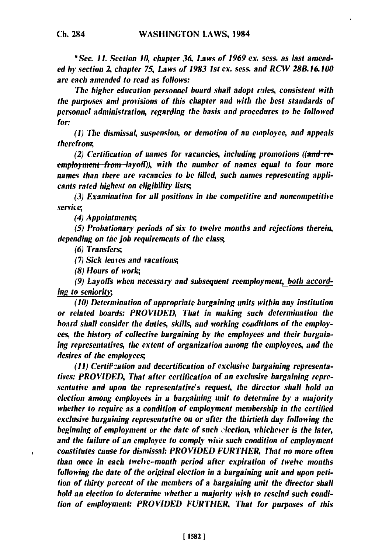**\*** *Sec. 11. Section 10, chapter 36. Laws of 1969* **ex.** *sess. as last amended by* section **2,** *chapter 75, Laws of 1983 1st* **ex.** *sess. and RCW 288.16.100 are each amended to read as follows:*

*The higher education personnel board shall adopt rales, consistent with the purposes and provisions of this chapter and with the best standards of personnel administration, regarding the basis and procedures to be followed for:*

*(1) The dismissal, suspension, or demotion of an emaployee, and appeals therefrom,*

*(2) Certification of names for vacancies, including promotions ((and-reemployment from -layoff*)), with the number of names equal to four more *names than there are vacancies to* **be** *filled, such names representing applicants rated highest on eligibility lists;*

*(3) Examination for all positions in the competitive and noncompetitive servicc*

(4) *Appointments;*

*(5) Probationary periods of six to twelve months and rejections therein, depending on* **the** *job requirements of the class;*

*(6) Transfers,*

ï

*(7) Sick leaves and vacations;*

*(8) Hours of work;*

*(9) Layoffs when necessary and subsequent reemployment, both according to seniority,*

*(10) Determination of appropriate bargaining units within any institution or related boards: PROVIDED, That in making such determination the board shall consider the duties, skills, and working conditions of the employees, the history of collective bargaining by the employees and their bargaining representatives, the extent of organization among the employees, and the desires of the employees;*

*(11) Certit:ation and decertification of exclusive bargaining representatives: PROVIDED, That after certification of an exclusive bargaining representative and upon the representative's request, the director shall hold an election among employees in a bargaining unit to determine by a majority whether to require as a condition of employment membership in the certified exclusive bargaining representative on or after the thirtieth day following the beginning of employment or the date of such eection, whichever is the later, and the failure of an employee to comply wiaa such condition of employment constitutes cause for dismissal: PROVIDED FURTHER, That no more often than once in each twelve-month period after expiration of twelve months following the date of the original election in a bargaining unit and upon petition of thirty percent of the members of a bargaining unit the director shall hold an election to determine whether a majority wish to rescind such condition of employment: PROVIDED FURTHER, That for purposes of this*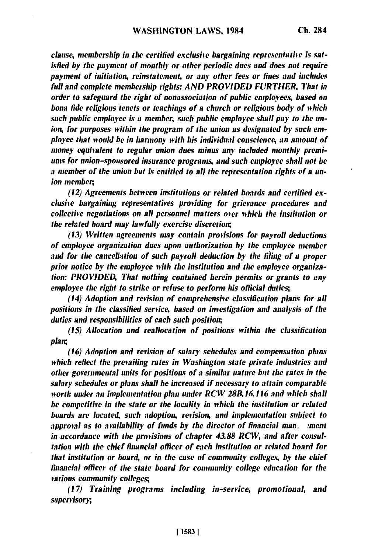clause, *membership in the certified exclusive bargaining representative is satisfied by the payment of monthly or other periodic dues and does not require payment of initiation, reinstatement, or any other fees or fines and includes full and complete membership rights: AND PROVIDED FURTllER, That in order to safeguard the right of nonassociation of public employees, based on bona fide religious tenets or teachings of a church or religious body of which such public employee is a member, such public employee shall pay to the union, for purposes within the program of the union as designated by such employee that would be in harmony with his individual conscience, an amount of money equivalent to regular union dues minus any included monthly premiums for union-sponsored insurance programs and such employee shall not be a member of the union but is entitled to all the representation rights of a union member,*

*(12) Agreements between institutions or related boards and certified exclusive bargaining representatives providing for grievance procedures and collective negotiations on all personnel matters over which the institution or the related board may lawfully exercise discretion,*

*(13) Written agreements may contain provisions for payroll deductions of employee organization dues upon authorization by the employee member and for the cancellation of such payroll deduction by the filing of a proper prior notice by the employee with the institution and the employee organization: PROVIDED, That nothing contained herein permits or grants to any employee the right to strike or refuse to perform his official duties;*

*(14) Adoption and revision of comprehensive classification plans for all positions in the classified service, based on investigation and analysis of the duties and responsibilities of each such position,*

*(15) Allocation and reallocation of positions within the classification plaw,*

*(16) Adoption and revision of salary schedules and compensation plans which reflect the prevailing rates in Washington state private industries and other governmental units for positions of a similar nature bit the rates in the salary schedules or plans shall be increased if necessary to attain comparable worth under an implementation plan under RCW 28B. 16.116 and which shall be competitive in the state or the locality in which the institution or related boards are located, such adoption, revision, and implementation subject to approval as to availability of funds by the director of financial man. !ment in accordance with the provisions of chapter 43.88 RCW, and after consultation with the chief financial officer of each institution or related board for that institution or board, or in the case of community colleges, by the chief financial officer of the state board for community college education for the various community colleges;*

*(17) Training programs including in-service, promotional, and supervisory,*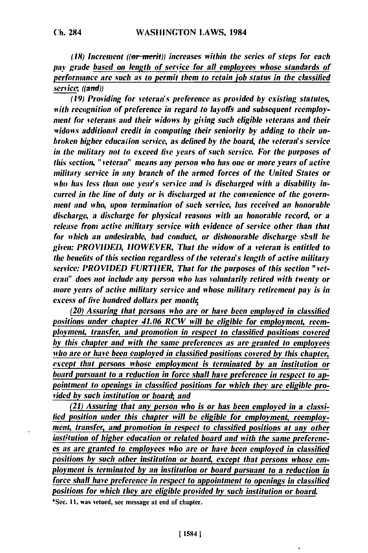**(18)** Increment ((or-merit)) increases within the series of steps for each pay grade based on length of service for **all** employees whose standards of performance are such as to permit them to retain job status in the classified service *((and))*

(19) Providing for *veteran's* preference as provided *by* existing statutes, *with* recognition of preference in regard to layoffs and subsequent reemploy*ment* for *veterans* and their widows by giving such eligible veterans and their *widows* additional credit in computing their seniority **by** adding to their unbroken higher educaiion service, as defined **by** the board, the veteran's service in the military not to exceed *five* years of such service. For the purposes of this section, "veteran" means any person who has one or more years of active military service in any branch of the armed forces of the United States or who has less than one year's service and is discharged with a disability in*curred* in the line **of** duty or is discharged at the convenience of the government and who, upon termination of such service, has received an honorable discharge, a discharge for physical reasons with an honorable record, or a release from active military service with evidence of service other than that for which an undesirable, bad conduct, or dishonorable discharge shall **be** given: PROVIDED, *HOWEVER,* That the widow of a veteran is entitled to the benefits of this section regardless of the veteran's length of active military service: *PROVIDED* FURTHER, That for the purposes of this section "vet*eran"* does not include any person who has voluntarily retired with twenty or more years of active military service and whose military retirement pay is in excess of five hundred dollars per month;

(20) Assuring that persons who are or have been employed in classified positions under chapter 41.06 RCW will **be** eligible for employment, reem*ployment,* transfer, and promotion in respect to classified positions covered *by* this chapter and with the same preferences as are granted to employees who are or have been *employed* in classified positions covered **by** this chapter, except that persons whose employment is terminated **by** an institution or *board* pursuant to a reduction in force shall have preference in respect to ap*pointment* to openings in classified positions for which they are *eligible* provided **by** such institution or board, and

*(21)* Assuring that any person who is or has been employed in a classi**fied** position under this chapter will **be** eligible for employment, reemploy*ment,* transfer, and promotion in respect to classified positions at any other institution of higher education or related *board* and with the same preferences as are granted to employees who are or have been employed in classified positions **by** such other institution or board, except that persons whose employment is terminated **by** an institution or board pursuant to a reduction in force shall have preference in respect to appointment to openings in classified positions for which they are eligible provided **by** such institution or board.

'Sec. **II.** was vetoed, see message **at** end **of** chapter.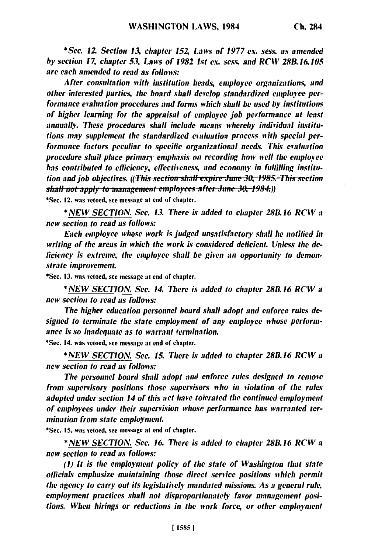*\*Sec. 12. Section 13. chapter 152, Laws of 1977 ex. sess. as amended by section 17, chapter 53, Laws of 1982 1st ex. sess. and RCW 28B.16.105 are each amended to read as follows:*

*After consultation with institution heads, employee organizations, and other interested parties, the board shall develop standardized employee performance evaluation procedures and forms which shall be used by institutions of higher learning for the appraisal of employee job performance at least annually. These procedures shall include means whereby individual institutions may supplement the standardized evaluation process with special performance factors peculiar to specific organizational needs. This evaluation procedure shall place primary emphasis on recording how well the employee has contributed to efficiency, effectiveness, and economy in fulfilling institution and iob objectives. ((This section shall expire June 30, 1985. This section shall not apply to management employees after June 30, 1984.))* 

\*Sec. 12. was vetoed, **see** message at end of chapter.

*\* NEW SECTION. See. 13. There is added to chapter 28B. 16 RCW a new section to read as follows:*

*Each employee whose work is judged unsatisfactory shall he notified ill* writing of the areas in which the work is considered deficient. Unless the de*ficiency is extreme, the employee shall be given an opportunity to demonstrate improvement.*

**\*Sec. 13.** was vetoed, see message at end of chapter.

*\* NEW SECTION. Sec. 14. There is added to chapter 28B. 16 RCW a new section to read as follows:*

*The higher education personnel board shall adopt and enforce rules designed to terminate the state employment of any employee whose performance is so inadequate as to warrant termination.*

\*Sec. 14. was vetoed, see message at end of chapter.

*\*NEW SECTION. Sec. 15. There is added to chapter 28B.16 RCW a new section to read as follows:*

*The personnel board shall adopt and enforce rules designed to remove from supervisory positions those supervisors who in violation of the rules adopted under section 14 of this act have tolerated the continued employment of employees under their supervision whose performance has warranted termination from state employment.*

\*Sec. **15.** was vetoed, see message at end of chapter.

**\*** *NEW SECTION. Sec. 16. There is added to chapter 28B.16 RCW a new section to read as follows:*

*(1) It is the employment policy of the state of Washington that state officials emphasize maintaining those direct service positions which permit the agency to carry out its legislatively mandated missions. As a general rule, employment practices shall not disproportionately favor management positions. When hirings or reductions in the work force, or other employment*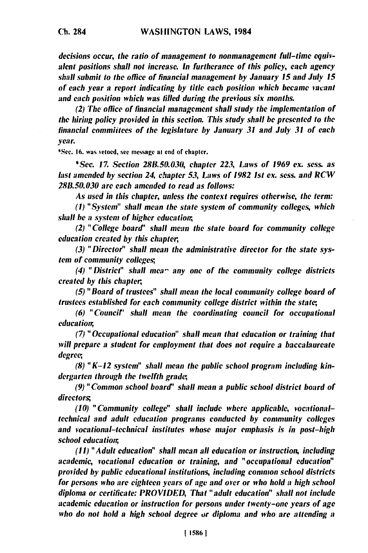*decisions* occur, the ratio of management to nonmanagement full-time equivalent *positions* shall not increase. In furtherance of this policy, each agency shall submit to the office of financial management **by** January **15** and July **15** of each year a report indicating **by** title each position which became vacant and each position which was **filled** during the previous six months.

(2) The office of financial management shall study the implementation of the *hiring* policy provided in this section. This study shall **be** presented to the financial commitees of the legislature **by** January **31** and July **31** of each year.

**\*Sec. 16. was** vetoed, see **message** at end of chapter.

*\*Sec.* **17.** Section **28B.50.030,** chapter **223,** Laws of **1969** *ex.* sess. as last amended **by** section 24, chapter **53,** Laws of **1982** *Ist* ex. sess. and **RCW** *2811.50.030* are each amended to read as follows:

As used in this chapter, unless the context requires otherwise, the term:

**(1)** "System" shall mean the state system of community colleges, which shall **he a** system of higher education,

(2) "College board' shall mean the state board for community college education created **by** this chapter,

*(3)* "Director" shall mean the administrative director for the state sys*tem* of community colleges;,

(4) "District" shall *men* any one of the community college districts created **by** this chapter,

*(5)* "Board of trustees" shall mean *the* local community college board of trustees established for each community college district within the state,

**(6)** "Council" shall mean the coordinating council for occupational education,

*(7)* "Occupational education" shall mean that education or training that will prepare *a* student for employment that does not require a baccalaureate degree;,

**(8)** "K-12 system" shall mean the public school program including kindergarten through the twelfth grade,

*(9)* "Common school board' shall mean **a** public school district board of directors;

**(10)** "Community college" shall include where applicable, vocationaltechnical and adult education programs conducted **by** community colleges and vocational-technical institutes whose major emphasis is in post-high school education,

**(11)** *"Adult* education" shall mean all education or instruction, including academic, vocational education or training, and "occupational education" provided **by** public educational institutions, including common school districts for persons who are eighteen years of age and over or who hold a high school diploma or certificate: PROVIDED, That "adult education" shall not include academic education or instruction for persons under twenty-one years of **age** who do not hold a high school degree *or* diploma **and** who **are** *attending* a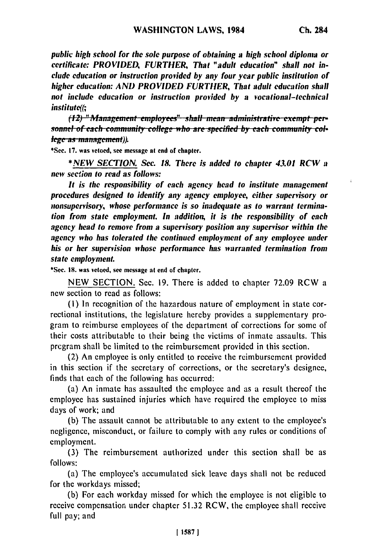*public high school for the sole purpose of obtaining a high school diploma or certificate: PROVIDED, FURTHER, That "adult education" shall not include education or instruction provided by any four year public institution of higher education: AND PROVIDED FURTHER, That adult education shall not include education or instruction provided by a vocational-technical institute((;*

*(12)* "Management-employees" shall mean administrative-exempt-per-*<i>Sonnel of each community college who are specified by each community col-***<br>***lege as management***)).** 

**\*Sec. 17.** was vetoed, see message at end **of** chapter.

*\*NEW SECTION. Sec. 18. There is added to chapter 43.01 RCV a new section to read as follows:*

*It is the responsibility of each agency head to institute management procedures designed to identify any agency employee, either supervisory or nonsupervisory, whose performance is so inadequate as to warrant termination from state employment. In addition, it is the responsibility of each agency head to remove from a supervisory position any supervisor within the agency who has tolerated the continued employment of any employee under his or her supervision whose performance has warranted termination from state employment.*

\*Sec. **18.** was vetoed, see message at end **of** chapter.

**NEW SECTION.** Sec. **19. There** is added to chapter **72.09** RCW a new section to read as follows:

**(I)** In recognition of the hazardous nature of employment in state correctional institutions, the legislature hereby provides a supplementary program to reimburse employees of the department of corrections for some of their costs attributable to their being the victims of inmate assaults. This program shall **be** limited to the reimbursement provided in this section.

(2) An employee is only entitled to receive the reimbursement provided in this section if the secretary of corrections, or the secretary's designee, finds that each of the following has occurred:

(a) An inmate has assaulted the employee and as a result thereof the employee has sustained injuries which have required the employee to miss days of work; and

**(b)** The assault cannot be attributable to any extent to the employee's negligence, misconduct, or failure to comply with any rules or conditions of employment.

**(3)** The reimbursement authorized under this section shall be as **follows:**

(a) The employee's accumulated sick leave days shall not **be** reduced for the workdays missed;

**(b)** For each workday missed for which the employee is not eligible to receive compensation under chapter **51.32** RCW, the employee shall receive full pay; and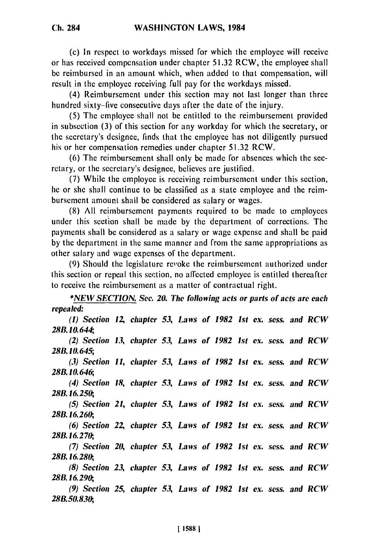(c) In respect to workdays missed for which the employee will receive or has received compensation under chapter 51.32 RCW, the employee shall be reimbursed in an amount which, when added to that compensation, will result in the employee receiving full pay for the workdays missed.

(4) Reimbursement under this section may not last longer than three hundred sixty-five consecutive days after the date of the injury.

(5) The employee shall not be entitled to the reimbursement provided in subsection (3) of this section for any workday for which the secretary, or the secretary's designee, finds that the employee has not diligently pursued his or her compensation remedies under chapter 51.32 RCW.

(6) The reimbursement shall only be made for absences which the secretary, or the secretary's designee, believes are justified.

(7) While the employee is receiving reimbursement under this section, he or she shall continue to be classified as a state employee and the reimbursement amount shall be considered as salary or wages.

(8) All reimbursement payments required to be made to employees under this section shall be made by the department of corrections. The payments shall be considered as a salary or wage expense and shall be paid by the department in the same manner and from the same appropriations as other salary and wage expenses of the department.

(9) Should the legislature revoke the reimbursement authorized under this section or repeal this section, no affected employee is entitled thereafter to receive the reimbursement as a matter of contractual right.

*\*NEW SECTION. Sec. 20. The following acts or parts of acts are each repealed:*

*(I) Section 1Z chapter 53, Laws of 1982 Ist cx. sess. and RCW 28B. 10. 64, (2) Section 13, chapter 53, Laws of 1982 Ist ex. sess. and RCW*

*28B.10.645;* (3) *Section 11, chapter 53, Laws of 1982 1st* **ex.** *sess. and RCW*

*28B. 10. 646;, (4) Section 18, chapter 53, Laws of 1982 Ist Cx. sess. and RCW*

*28B. 16.250;, (5) Section 21, chapter 53, Laws of 1982 Ist* **ex.** *sess. and RCW*

*28B. 16.260,*

*(6) Section 2Z chapter 53, Laws of 1982 1st Cx. sess. and RCW 28B. 16.270,*

*(7) Section 20, chapter 53, Laws of 1982 Ist* **ex.** *sess. and RCW 28B. 16.280,*

*(8) Section 23, chapter 53, Laws of 1982 Ist* **ex.** *sess. and RCW 28B. 16.290,*

*(9) Section 25, chapter 53, Laws of 1982 1st* **ex.** *sess. and RCW 28B.50.830,*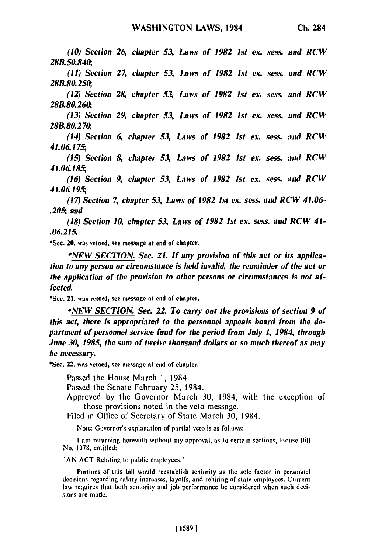*(10) Section 26, chapter 53, Laws of 1982 Ist ex. sess. and RCW 28B.50.840, (11) Section 27, chapter 53, Laws of 1982 Ist ex. sess. and RCW 28B.80.250, (12) Section 28 chapter 53, Laws of 1982 Ist ex. sess. and RCIV 28B.80.26&, (13) Section 29, chapter 53, Laws of 1982 1st ex. sess. and RCV 28B.80.2 7, (14) Section 6, chapter 53, Laws of 1982 Ist Cx. sess. and RCV 41.06.175; (15) Section 8, chapter 53, Laws of 1982 Ist ex. sess. and RCW 41.06.185; (16) Section 9, chapter 53, Laws of 1982 Ist ex. sess. and RCW 41.06.195, (17) Section 7, chapter 53, Laws of 1982 Ist ex. sess. and RCW 41.06- .205; and (18) Section 10, chapter 53, Laws of 1982 1st ex. sess. and RCW 41- .06.215.* \*Sec. 20. was vetoed, see message at end of chapter.

**\*NEW SECTION.** *Sec. 21. If any provision of this act or its application to any person or circumstance is held invalid, the remainder of the act or the application of the provision to other persons or circumstances is not affected.*

\*Sec. 21. was vetoed, see message at **end** of chapter.

**\*NEW SECTION.** *Sec.* **22.** *To carry out the provisions of section 9 of this act, there is appropriated to the personnel appeals board from the department of personnel service fund for the period from July 1, 1984, through June 30, 1985, the sum of twelve thousand dollars or so much thereof as may be necessary.*

\*See. 22. was vetoed, see message at end of chapter.

Passed the House March **1,** 1984.

Passed the Senate February 25, 1984.

Approved **by** the Governor March **30,** 1984, with the exception of those provisions noted in the veto message.

Filed in Office of Secretary of State March **30,** 1984.

Note: Governor's explanation of partial veto is as follows:

**I** am returning herewith without my approval, as to certain sections, House Bill No. **1378,** entitled:

**"AN ACT** Relating to public employces."

Portions of this bill would reestablish seniority as the sole factor in personnel decisions regarding salary increases, layoffs, and rehiring of state employees. Current law requires that both seniority and **job** performance be considered when such decisions are made.